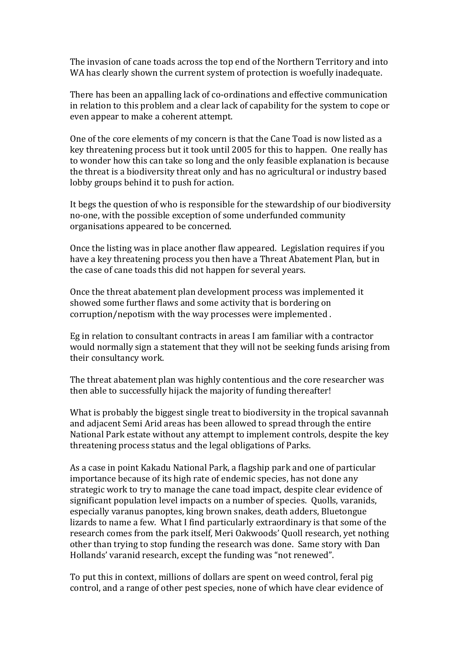The invasion of cane toads across the top end of the Northern Territory and into WA has clearly shown the current system of protection is woefully inadequate.

There has been an appalling lack of co-ordinations and effective communication in relation to this problem and a clear lack of capability for the system to cope or even appear to make a coherent attempt.

One of the core elements of my concern is that the Cane Toad is now listed as a key threatening process but it took until 2005 for this to happen. One really has to wonder how this can take so long and the only feasible explanation is because the threat is a biodiversity threat only and has no agricultural or industry based lobby groups behind it to push for action.

It begs the question of who is responsible for the stewardship of our biodiversity no-one, with the possible exception of some underfunded community organisations appeared to be concerned.

Once the listing was in place another flaw appeared. Legislation requires if you have a key threatening process you then have a Threat Abatement Plan, but in the case of cane toads this did not happen for several years.

Once the threat abatement plan development process was implemented it showed some further flaws and some activity that is bordering on corruption/nepotism with the way processes were implemented .

Eg in relation to consultant contracts in areas I am familiar with a contractor would normally sign a statement that they will not be seeking funds arising from their consultancy work.

The threat abatement plan was highly contentious and the core researcher was then able to successfully hijack the majority of funding thereafter!

What is probably the biggest single treat to biodiversity in the tropical savannah and adjacent Semi Arid areas has been allowed to spread through the entire National Park estate without any attempt to implement controls, despite the key threatening process status and the legal obligations of Parks.

As a case in point Kakadu National Park, a flagship park and one of particular importance because of its high rate of endemic species, has not done any strategic work to try to manage the cane toad impact, despite clear evidence of significant population level impacts on a number of species. Quolls, varanids, especially varanus panoptes, king brown snakes, death adders, Bluetongue lizards to name a few. What I find particularly extraordinary is that some of the research comes from the park itself, Meri Oakwoods' Quoll research, yet nothing other than trying to stop funding the research was done. Same story with Dan Hollands' varanid research, except the funding was "not renewed".

To put this in context, millions of dollars are spent on weed control, feral pig control, and a range of other pest species, none of which have clear evidence of